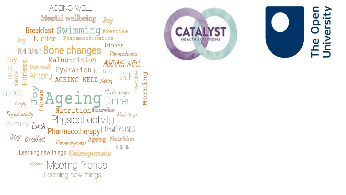



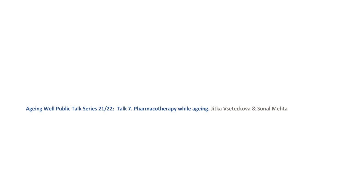**Ageing Well Public Talk Series 21/22: Talk 7. Pharmacotherapy while ageing. Jitka Vseteckova & Sonal Mehta**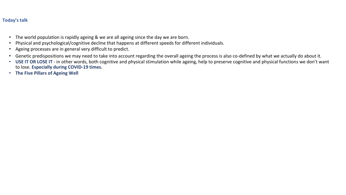# **Today's talk**

- The world population is rapidly ageing & we are all ageing since the day we are born.
- Physical and psychological/cognitive decline that happens at different speeds for different individuals.
- Ageing processes are in general very difficult to predict.
- Genetic predispositions we may need to take into account regarding the overall ageing the process is also co-defined by what we actually do about it.
- **USE IT OR LOSE IT**  in other words, both cognitive and physical stimulation while ageing, help to preserve cognitive and physical functions we don't want to lose. **Especially during COVID-19 times.**
- **The Five Pillars of Ageing Well**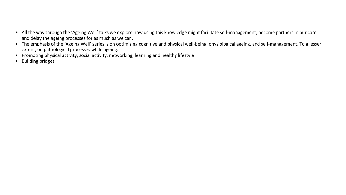- All the way through the 'Ageing Well' talks we explore how using this knowledge might facilitate self-management, become partners in our care and delay the ageing processes for as much as we can.
- The emphasis of the 'Ageing Well' series is on optimizing cognitive and physical well-being, physiological ageing, and self-management. To a lesser extent, on pathological processes while ageing.
- Promoting physical activity, social activity, networking, learning and healthy lifestyle
- Building bridges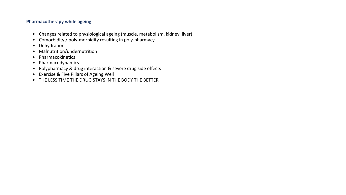## **Pharmacotherapy while ageing**

- Changes related to physiological ageing (muscle, metabolism, kidney, liver)
- Comorbidity / poly-morbidity resulting in poly-pharmacy
- Dehydration
- Malnutrition/undernutrition
- Pharmacokinetics
- Pharmacodynamics
- Polypharmacy & drug interaction & severe drug side effects
- Exercise & Five Pillars of Ageing Well
- THE LESS TIME THE DRUG STAYS IN THE BODY THE BETTER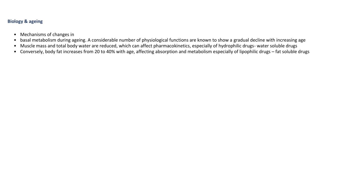# **Biology & ageing**

- Mechanisms of changes in
- basal metabolism during ageing. A considerable number of physiological functions are known to show a gradual decline with increasing age
- Muscle mass and total body water are reduced, which can affect pharmacokinetics, especially of hydrophilic drugs- water soluble drugs
- Conversely, body fat increases from 20 to 40% with age, affecting absorption and metabolism especially of lipophilic drugs fat soluble drugs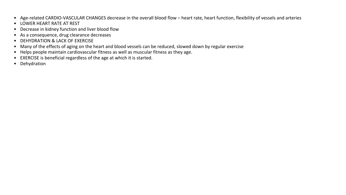- Age-related CARDIO-VASCULAR CHANGES decrease in the overall blood flow heart rate, heart function, flexibility of vessels and arteries
- LOWER HEART RATE AT REST
- Decrease in kidney function and liver blood flow
- As a consequence, drug clearance decreases
- DEHYDRATION & LACK OF EXERCISE
- Many of the effects of aging on the heart and blood vessels can be reduced, slowed down by regular exercise
- Helps people maintain cardiovascular fitness as well as muscular fitness as they age.
- EXERCISE is beneficial regardless of the age at which it is started.
- Dehydration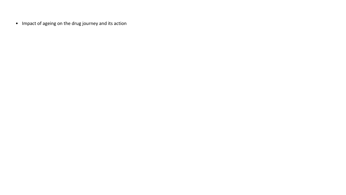• Impact of ageing on the drug journey and its action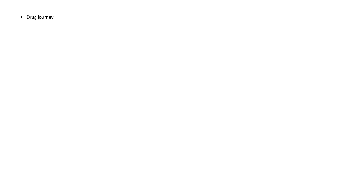• Drug journey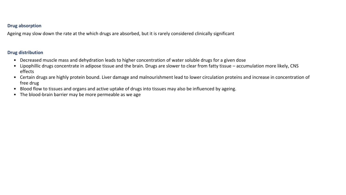## **Drug absorption**

Ageing may slow down the rate at the which drugs are absorbed, but it is rarely considered clinically significant

# **Drug distribution**

- Decreased muscle mass and dehydration leads to higher concentration of water soluble drugs for a given dose
- Lipophillic drugs concentrate in adipose tissue and the brain. Drugs are slower to clear from fatty tissue accumulation more likely, CNS effects
- Certain drugs are highly protein bound. Liver damage and malnourishment lead to lower circulation proteins and increase in concentration of free drug
- Blood flow to tissues and organs and active uptake of drugs into tissues may also be influenced by ageing.
- The blood-brain barrier may be more permeable as we age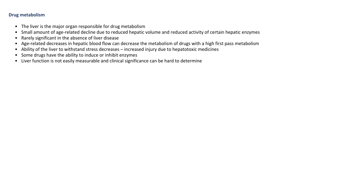# **Drug metabolism**

- The liver is the major organ responsible for drug metabolism
- Small amount of age-related decline due to reduced hepatic volume and reduced activity of certain hepatic enzymes
- Rarely significant in the absence of liver disease
- Age-related decreases in hepatic blood flow can decrease the metabolism of drugs with a high first pass metabolism
- Ability of the liver to withstand stress decreases increased injury due to hepatotoxic medicines
- Some drugs have the ability to induce or inhibit enzymes
- Liver function is not easily measurable and clinical significance can be hard to determine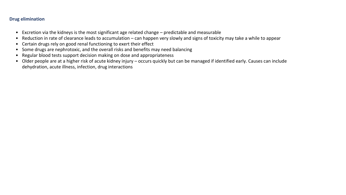# **Drug elimination**

- Excretion via the kidneys is the most significant age related change predictable and measurable
- Reduction in rate of clearance leads to accumulation can happen very slowly and signs of toxicity may take a while to appear
- Certain drugs rely on good renal functioning to exert their effect
- Some drugs are nephrotoxic, and the overall risks and benefits may need balancing
- Regular blood tests support decision making on dose and appropriateness
- Older people are at a higher risk of acute kidney injury occurs quickly but can be managed if identified early. Causes can include dehydration, acute illness, infection, drug interactions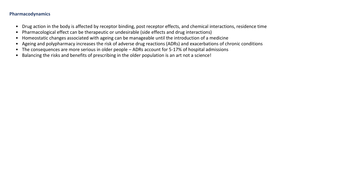## **Pharmacodynamics**

- Drug action in the body is affected by receptor binding, post receptor effects, and chemical interactions, residence time
- Pharmacological effect can be therapeutic or undesirable (side effects and drug interactions)
- Homeostatic changes associated with ageing can be manageable until the introduction of a medicine
- Ageing and polypharmacy increases the risk of adverse drug reactions (ADRs) and exacerbations of chronic conditions
- The consequences are more serious in older people ADRs account for 5-17% of hospital admissions
- Balancing the risks and benefits of prescribing in the older population is an art not a science!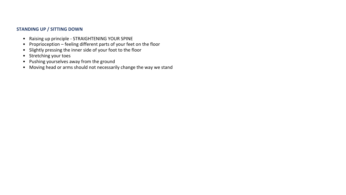# **STANDING UP / SITTING DOWN**

- Raising up principle STRAIGHTENING YOUR SPINE
- Proprioception feeling different parts of your feet on the floor
- Slightly pressing the inner side of your foot to the floor
- Stretching your toes
- Pushing yourselves away from the ground
- Moving head or arms should not necessarily change the way we stand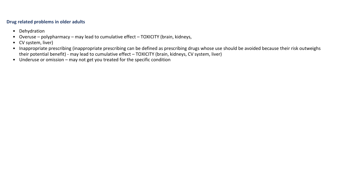#### **Drug related problems in older adults**

- Dehydration
- Overuse polypharmacy may lead to cumulative effect TOXICITY (brain, kidneys,
- CV system, liver)
- Inappropriate prescribing (inappropriate prescribing can be defined as prescribing drugs whose use should be avoided because their risk outweighs their potential benefit) - may lead to cumulative effect – TOXICITY (brain, kidneys, CV system, liver)
- Underuse or omission may not get you treated for the specific condition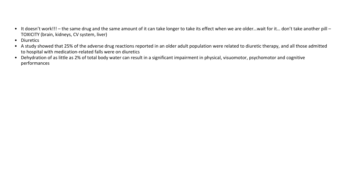- It doesn't work!!! the same drug and the same amount of it can take longer to take its effect when we are older...wait for it... don't take another pill -TOXICITY (brain, kidneys, CV system, liver)
- Diuretics
- A study showed that 25% of the adverse drug reactions reported in an older adult population were related to diuretic therapy, and all those admitted to hospital with medication-related falls were on diuretics
- Dehydration of as little as 2% of total body water can result in a significant impairment in physical, visuomotor, psychomotor and cognitive performances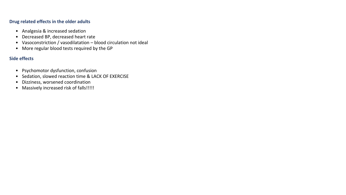## **Drug related effects in the older adults**

- Analgesia & increased sedation
- Decreased BP, decreased heart rate
- Vasoconstriction / vasodilatation blood circulation not ideal
- More regular blood tests required by the GP

# **Side effects**

- Psychomotor dysfunction, confusion
- Sedation, slowed reaction time & LACK OF EXERCISE
- Dizziness, worsened coordination
- Massively increased risk of falls!!!!!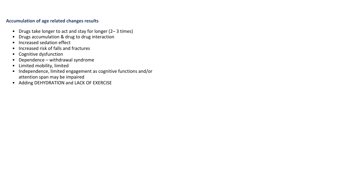#### **Accumulation of age related changes results**

- Drugs take longer to act and stay for longer (2– 3 times)
- Drugs accumulation & drug to drug interaction
- Increased sedation effect
- Increased risk of falls and fractures
- Cognitive dysfunction
- Dependence withdrawal syndrome
- Limited mobility, limited
- Independence, limited engagement as cognitive functions and/or attention span may be impaired
- Adding DEHYDRATION and LACK OF EXERCISE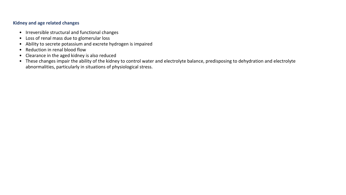# **Kidney and age related changes**

- Irreversible structural and functional changes
- Loss of renal mass due to glomerular loss
- Ability to secrete potassium and excrete hydrogen is impaired
- Reduction in renal blood flow
- Clearance in the aged kidney is also reduced
- These changes impair the ability of the kidney to control water and electrolyte balance, predisposing to dehydration and electrolyte abnormalities, particularly in situations of physiological stress.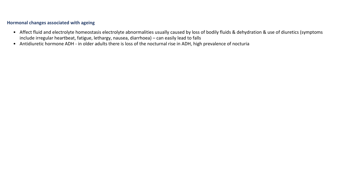# **Hormonal changes associated with ageing**

- Affect fluid and electrolyte homeostasis electrolyte abnormalities usually caused by loss of bodily fluids & dehydration & use of diuretics (symptoms include irregular heartbeat, fatigue, lethargy, nausea, diarrhoea) – can easily lead to falls
- Antidiuretic hormone ADH in older adults there is loss of the nocturnal rise in ADH, high prevalence of nocturia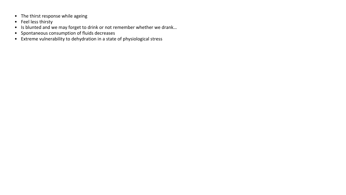- The thirst response while ageing
- Feel less thirsty
- Is blunted and we may forget to drink or not remember whether we drank...
- Spontaneous consumption of fluids decreases
- Extreme vulnerability to dehydration in a state of physiological stress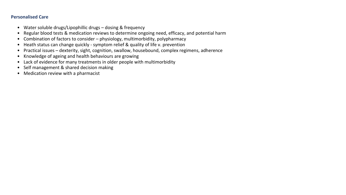## **Personalised Care**

- Water soluble drugs/Lipophillic drugs dosing & frequency
- Regular blood tests & medication reviews to determine ongoing need, efficacy, and potential harm
- Combination of factors to consider physiology, multimorbidity, polypharmacy
- Heath status can change quickly symptom relief & quality of life v. prevention
- Practical issues dexterity, sight, cognition, swallow, housebound, complex regimens, adherence
- Knowledge of ageing and health behaviours are growing
- Lack of evidence for many treatments in older people with multimorbidity
- Self management & shared decision making
- Medication review with a pharmacist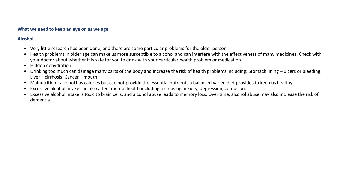#### **What we need to keep an eye on as we age**

# **Alcohol**

- Very little research has been done, and there are some particular problems for the older person.
- Health problems in older age can make us more susceptible to alcohol and can interfere with the effectiveness of many medicines. Check with your doctor about whether it is safe for you to drink with your particular health problem or medication.
- Hidden dehydration
- Drinking too much can damage many parts of the body and increase the risk of health problems including: Stomach lining ulcers or bleeding; Liver – cirrhosis; Cancer – mouth
- Malnutrition alcohol has calories but can not provide the essential nutrients a balanced varied diet provides to keep us healthy.
- Excessive alcohol intake can also affect mental health including increasing anxiety, depression, confusion.
- Excessive alcohol intake is toxic to brain cells, and alcohol abuse leads to memory loss. Over time, alcohol abuse may also increase the risk of dementia.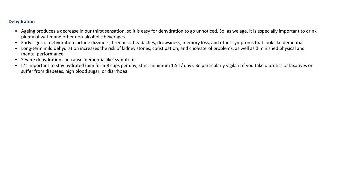# **Dehydration**

- Ageing produces a decrease in our thirst sensation, so it is easy for dehydration to go unnoticed. So, as we age, it is especially important to drink plenty of water and other non-alcoholic beverages.
- Early signs of dehydration include dizziness, tiredness, headaches, drowsiness, memory loss, and other symptoms that look like dementia.
- Long-term mild dehydration increases the risk of kidney stones, constipation, and cholesterol problems, as well as diminished physical and mental performance.
- Severe dehydration can cause 'dementia like' symptoms
- It's important to stay hydrated (aim for 6-8 cups per day, strict minimum 1.5 l / day). Be particularly vigilant if you take diuretics or laxatives or suffer from diabetes, high blood sugar, or diarrhoea.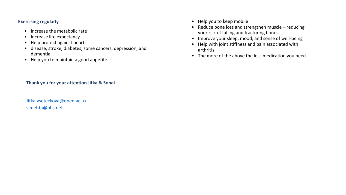#### **Exercising regularly**

- Increase the metabolic rate
- Increase life expectancy
- Help protect against heart
- disease, stroke, diabetes, some cancers, depression, and dementia
- Help you to maintain a good appetite
- Help you to keep mobile
- Reduce bone loss and strengthen muscle reducing your risk of falling and fracturing bones
- Improve your sleep, mood, and sense of well-being
- Help with joint stiffness and pain associated with arthritis
- The more of the above the less medication you need

# **Thank you for your attention Jitka & Sonal**

[Jitka.vseteckova@open.ac.uk](mailto:Jitka.vseteckova@open.ac.uk) [s.mehta@nhs.net](mailto:s.mehta@nhs.net)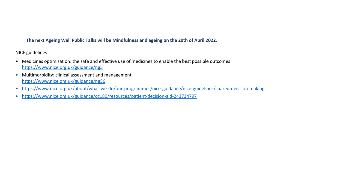# **The next Ageing Well Public Talks will be Mindfulness and ageing on the 20th of April 2022.**

NICE guidelines

- Medicines optimisation: the safe and effective use of medicines to enable the best possible outcomes <https://www.nice.org.uk/guidance/ng5>
- Multimorbidity: clinical assessment and management <https://www.nice.org.uk/guidance/ng56>
- <https://www.nice.org.uk/about/what-we-do/our-programmes/nice-guidance/nice-guidelines/shared-decision-making>
- <https://www.nice.org.uk/guidance/cg180/resources/patient-decision-aid-243734797>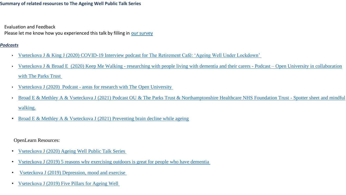## **Summary of related resources to The Ageing Well Public Talk Series**

- Evaluation and Feedback
- Please let me know how you experienced this talk by filling in [our survey](https://www.surveymonkey.com/r/27DBWXS)

# *Podcasts*

- Vseteckova J [& King J \(2020\) COVID-19 Interview podcast for The Retirement Café: 'Ageing Well Under Lockdown'](https://theretirementcafe.co.uk/077-dr-jitka/)
- Vseteckova J & Broad E (2020) Keep Me Walking [researching with people living with dementia and their carers -](https://youtu.be/0QHAS88C-LU) Podcast Open University in collaboration with [The Parks Trust](https://youtu.be/0QHAS88C-LU)
- Vseteckova J (2020) Podcast [areas for research with The Open University](https://youtu.be/vE6J9J_ovOM)
- [Broad E & Methley A & Vseteckova J \(2021\) Podcast OU & The Parks Trust & Northamptonshire Healthcare NHS Foundation Trust -](https://www.youtube.com/watch?v=dq5OXEBk3CA&feature=youtu.be) Spotter sheet and mindful [walking.](https://www.youtube.com/watch?v=dq5OXEBk3CA&feature=youtu.be)
- Broad E & Methley A & Vseteckova J (2021) Preventing brain decline while ageing

## OpenLearn Resources:

- Vseteckova J [\(2020\) Ageing Well Public Talk Series](https://www.open.edu/openlearn/health-sports-psychology/health/the-ageing-well-public-talks)
- Vseteckova J [\(2019\) 5 reasons why exercising outdoors is great for people who have dementia](https://www.open.edu/openlearn/health-sports-psychology/mental-health/5-reasons-why-exercising-outdoors-great-people-who-have-dementia)
- Vseteckova J [\(2019\) Depression, mood and exercise](https://www.open.edu/openlearn/health-sports-psychology/mental-health/depression-mood-and-exercise?in_menu=622279)
- Vseteckova J [\(2019\) Five Pillars for Ageing Well](https://www.open.edu/openlearn/health-sports-psychology/mental-health/five-pillars-ageing-well)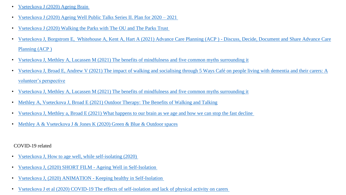- Vseteckova J [\(2020\) Ageing Brain](https://www.open.edu/openlearn/health-sports-psychology/health/the-ageing-brain-use-it-or-lose-it)
- Vseteckova J [\(2020\) Ageing Well Public Talks Series II. Plan for 2020 –](https://www.open.edu/openlearn/health-sports-psychology/health/ageing-well-public-talk-series-plan-2020/2021) 2021
- Vseteckova J [\(2020\) Walking the Parks with The OU and The Parks Trust](https://www.open.edu/openlearn/health-sports-psychology/social-care-social-work/keep-me-walking-people-living-dementia-and-outdoor-environments)
- [Vseteckova J, Borgstrom E, Whitehouse A, Kent A, Hart A \(2021\) Advance Care Planning \(ACP \) -](https://www.open.edu/openlearn/health-sports-psychology/health/advance-care-planning-acp-discuss-decide-document-and-share) Discuss, Decide, Document and Share Advance Care Planning (ACP)
- [Vseteckova J, Methley A, Lucassen M \(2021\) The benefits of mindfulness and five common myths surrounding it](https://www.open.edu/openlearn/health-sports-psychology/mental-health/the-benefits-mindfulness-and-five-common-myths-surrounding-it)
- [Vseteckova J, Broad E, Andrew V \(2021\) The impact of walking and socialising through 5 Ways Café on people living with dementia and their carers: A](https://www.open.edu/openlearn/health-sports-psychology/health/the-impact-walking-and-socialising-through-5-ways-cafe-on-people-living-dementia-and-their-carers)  [volunteer's perspective](https://www.open.edu/openlearn/health-sports-psychology/health/the-impact-walking-and-socialising-through-5-ways-cafe-on-people-living-dementia-and-their-carers)
- [Vseteckova J, Methley A, Lucassen M \(2021\) The benefits of mindfulness and five common myths surrounding it](https://www.open.edu/openlearn/health-sports-psychology/mental-health/the-benefits-mindfulness-and-five-common-myths-surrounding-it)
- [Methley A, Vseteckova J, Broad E \(2021\) Outdoor Therapy: The Benefits of Walking and Talking](https://www.open.edu/openlearn/health-sports-psychology/mental-health/outdoor-therapy-the-benefits-walking-and-talking)
- [Vseteckova J, Methley a, Broad E \(2021\) What happens to our brain as we age and how we can stop the fast decline](https://www.open.edu/openlearn/health-sports-psychology/health/what-happens-our-brain-we-age-and-how-can-we-stop-the-decline)
- Methley A & Vseteckova J & [Jones K \(2020\) Green & Blue & Outdoor spaces](https://www.open.edu/openlearn/health-sports-psychology/mental-health/the-benefits-outdoor-green-and-blue-spaces)

# COVID-19 related

- [Vseteckova J, How to age well, while self-isolating \(2020\)](https://www.open.edu/openlearn/health-sports-psychology/how-age-well-while-self-isolating)
- [Vseteckova J, \(2020\) SHORT FILM -](https://youtu.be/LU4pXFgcGos) Ageing Well in Self-Isolation
- Vseteckova J, (2020) ANIMATION [Keeping healthy in Self-Isolation](https://youtu.be/M9yUC-MUugA)
- Vseteckova J et al (2020) COVID-19 [The effects of self-isolation and lack of physical activity on carers](https://www.open.edu/openlearn/health-sports-psychology/social-care-social-work/the-effects-self-isolation-and-lack-physical-activity-on-carers)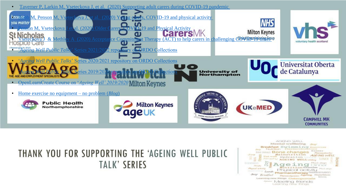

# THANK YOU FOR SUPPORTING THE 'AGEING WELL PUBLIC **TALK' SERIES**